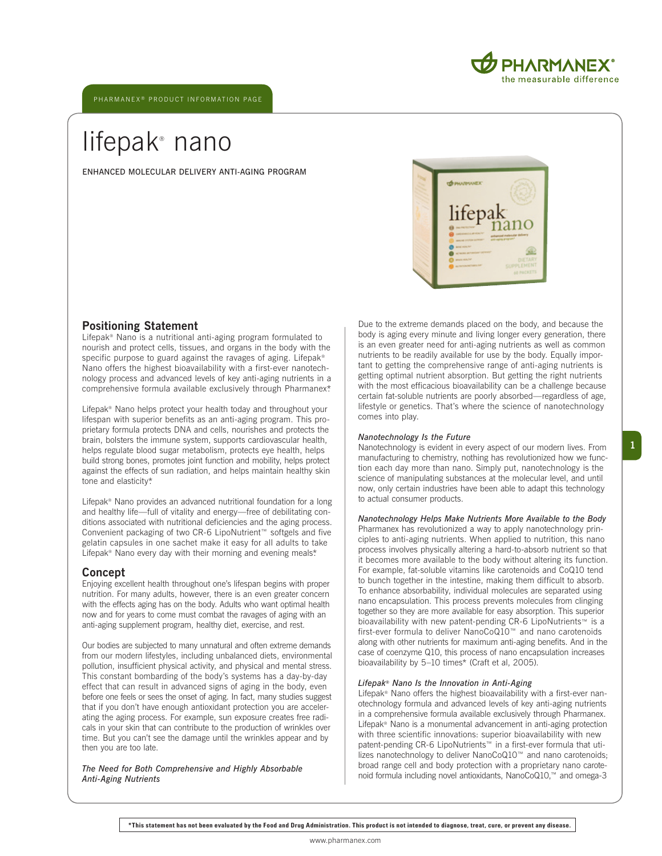ENHANCED MOLECULAR DELIVERY ANTI-AGING PROGRAM



PHARMANEX he measurable difference

## **Positioning Statement**

Lifepak® Nano is a nutritional anti-aging program formulated to nourish and protect cells, tissues, and organs in the body with the specific purpose to guard against the ravages of aging. Lifepak® Nano offers the highest bioavailability with a first-ever nanotechnology process and advanced levels of key anti-aging nutrients in a comprehensive formula available exclusively through Pharmanex\*.

Lifepak® Nano helps protect your health today and throughout your lifespan with superior benefits as an anti-aging program. This proprietary formula protects DNA and cells, nourishes and protects the brain, bolsters the immune system, supports cardiovascular health, helps regulate blood sugar metabolism, protects eye health, helps build strong bones, promotes joint function and mobility, helps protect against the effects of sun radiation, and helps maintain healthy skin tone and elasticity\*.

Lifepak® Nano provides an advanced nutritional foundation for a long and healthy life—full of vitality and energy—free of debilitating conditions associated with nutritional deficiencies and the aging process. Convenient packaging of two CR-6 LipoNutrient™ softgels and five gelatin capsules in one sachet make it easy for all adults to take Lifepak® Nano every day with their morning and evening meals\*.

## **Concept**

Enjoying excellent health throughout one's lifespan begins with proper nutrition. For many adults, however, there is an even greater concern with the effects aging has on the body. Adults who want optimal health now and for years to come must combat the ravages of aging with an anti-aging supplement program, healthy diet, exercise, and rest.

Our bodies are subjected to many unnatural and often extreme demands from our modern lifestyles, including unbalanced diets, environmental pollution, insufficient physical activity, and physical and mental stress. This constant bombarding of the body's systems has a day-by-day effect that can result in advanced signs of aging in the body, even before one feels or sees the onset of aging. In fact, many studies suggest that if you don't have enough antioxidant protection you are accelerating the aging process. For example, sun exposure creates free radicals in your skin that can contribute to the production of wrinkles over time. But you can't see the damage until the wrinkles appear and by then you are too late.

*The Need for Both Comprehensive and Highly Absorbable Anti-Aging Nutrients*

Due to the extreme demands placed on the body, and because the body is aging every minute and living longer every generation, there is an even greater need for anti-aging nutrients as well as common nutrients to be readily available for use by the body. Equally important to getting the comprehensive range of anti-aging nutrients is getting optimal nutrient absorption. But getting the right nutrients with the most efficacious bioavailability can be a challenge because certain fat-soluble nutrients are poorly absorbed—regardless of age, lifestyle or genetics. That's where the science of nanotechnology comes into play.

#### *Nanotechnology Is the Future*

Nanotechnology is evident in every aspect of our modern lives. From manufacturing to chemistry, nothing has revolutionized how we function each day more than nano. Simply put, nanotechnology is the science of manipulating substances at the molecular level, and until now, only certain industries have been able to adapt this technology to actual consumer products.

#### *Nanotechnology Helps Make Nutrients More Available to the Body* Pharmanex has revolutionized a way to apply nanotechnology principles to anti-aging nutrients. When applied to nutrition, this nano process involves physically altering a hard-to-absorb nutrient so that it becomes more available to the body without altering its function. For example, fat-soluble vitamins like carotenoids and CoQ10 tend to bunch together in the intestine, making them difficult to absorb. To enhance absorbability, individual molecules are separated using nano encapsulation. This process prevents molecules from clinging together so they are more available for easy absorption. This superior bioavailability with new patent-pending CR-6 LipoNutrients™ is a first-ever formula to deliver NanoCoQ10™ and nano carotenoids

along with other nutrients for maximum anti-aging benefits. And in the case of coenzyme Q10, this process of nano encapsulation increases bioavailability by 5–10 times\* (Craft et al, 2005).

## *Lifepak® Nano Is the Innovation in Anti-Aging*

Lifepak® Nano offers the highest bioavailability with a first-ever nanotechnology formula and advanced levels of key anti-aging nutrients in a comprehensive formula available exclusively through Pharmanex. Lifepak® Nano is a monumental advancement in anti-aging protection with three scientific innovations: superior bioavailability with new patent-pending CR-6 LipoNutrients™ in a first-ever formula that utilizes nanotechnology to deliver NanoCoQ10™ and nano carotenoids; broad range cell and body protection with a proprietary nano carotenoid formula including novel antioxidants, NanoCoQ10,™ and omega-3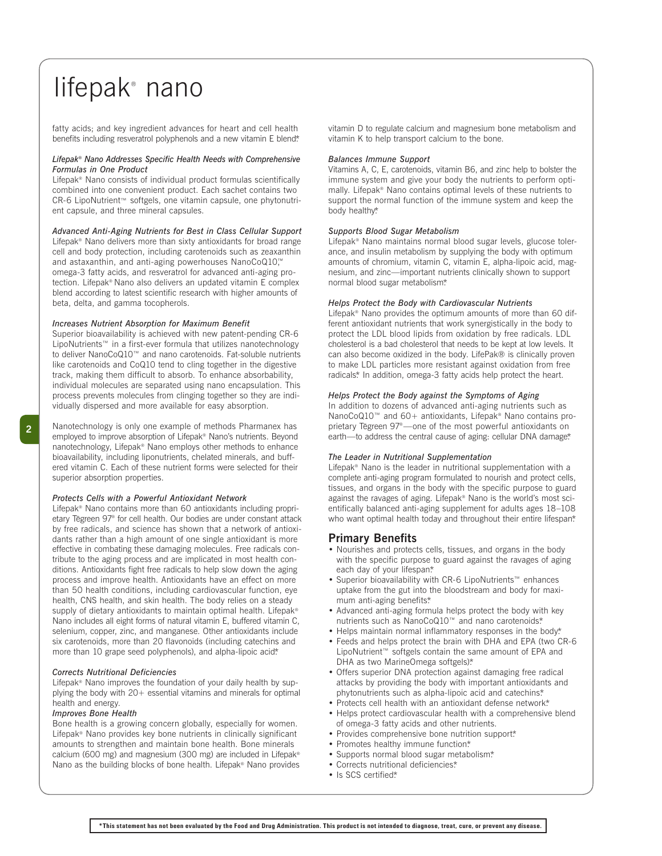fatty acids; and key ingredient advances for heart and cell health benefits including resveratrol polyphenols and a new vitamin E blend\*

#### *Lifepak® Nano Addresses Specific Health Needs with Comprehensive Formulas in One Product*

Lifepak® Nano consists of individual product formulas scientifically combined into one convenient product. Each sachet contains two CR-6 LipoNutrient™ softgels, one vitamin capsule, one phytonutrient capsule, and three mineral capsules.

*Advanced Anti-Aging Nutrients for Best in Class Cellular Support* Lifepak® Nano delivers more than sixty antioxidants for broad range cell and body protection, including carotenoids such as zeaxanthin and astaxanthin, and anti-aging powerhouses NanoCoQ10™ omega-3 fatty acids, and resveratrol for advanced anti-aging protection. Lifepak® Nano also delivers an updated vitamin E complex blend according to latest scientific research with higher amounts of beta, delta, and gamma tocopherols.

#### *Increases Nutrient Absorption for Maximum Benefit*

Superior bioavailability is achieved with new patent-pending CR-6 LipoNutrients™ in a first-ever formula that utilizes nanotechnology to deliver NanoCoQ10™ and nano carotenoids. Fat-soluble nutrients like carotenoids and CoQ10 tend to cling together in the digestive track, making them difficult to absorb. To enhance absorbability, individual molecules are separated using nano encapsulation. This process prevents molecules from clinging together so they are individually dispersed and more available for easy absorption.

**2**

Nanotechnology is only one example of methods Pharmanex has employed to improve absorption of Lifepak® Nano's nutrients. Beyond nanotechnology, Lifepak® Nano employs other methods to enhance bioavailability, including liponutrients, chelated minerals, and buffered vitamin C. Each of these nutrient forms were selected for their superior absorption properties.

#### *Protects Cells with a Powerful Antioxidant Network*

Lifepak® Nano contains more than 60 antioxidants including proprietary Tegreen 97<sup>®</sup> for cell health. Our bodies are under constant attack by free radicals, and science has shown that a network of antioxidants rather than a high amount of one single antioxidant is more effective in combating these damaging molecules. Free radicals contribute to the aging process and are implicated in most health conditions. Antioxidants fight free radicals to help slow down the aging process and improve health. Antioxidants have an effect on more than 50 health conditions, including cardiovascular function, eye health, CNS health, and skin health. The body relies on a steady supply of dietary antioxidants to maintain optimal health. Lifepak® Nano includes all eight forms of natural vitamin E, buffered vitamin C, selenium, copper, zinc, and manganese. Other antioxidants include six carotenoids, more than 20 flavonoids (including catechins and more than 10 grape seed polyphenols), and alpha-lipoic acid\*

## *Corrects Nutritional Deficiencies*

Lifepak® Nano improves the foundation of your daily health by supplying the body with 20+ essential vitamins and minerals for optimal health and energy.

## *Improves Bone Health*

Bone health is a growing concern globally, especially for women. Lifepak® Nano provides key bone nutrients in clinically significant amounts to strengthen and maintain bone health. Bone minerals calcium (600 mg) and magnesium (300 mg) are included in Lifepak® Nano as the building blocks of bone health. Lifepak® Nano provides vitamin D to regulate calcium and magnesium bone metabolism and vitamin K to help transport calcium to the bone.

#### *Balances Immune Support*

Vitamins A, C, E, carotenoids, vitamin B6, and zinc help to bolster the immune system and give your body the nutrients to perform optimally. Lifepak® Nano contains optimal levels of these nutrients to support the normal function of the immune system and keep the body healthy\*

## *Supports Blood Sugar Metabolism*

Lifepak® Nano maintains normal blood sugar levels, glucose tolerance, and insulin metabolism by supplying the body with optimum amounts of chromium, vitamin C, vitamin E, alpha-lipoic acid, magnesium, and zinc—important nutrients clinically shown to support normal blood sugar metabolism\*

## *Helps Protect the Body with Cardiovascular Nutrients*

Lifepak® Nano provides the optimum amounts of more than 60 different antioxidant nutrients that work synergistically in the body to protect the LDL blood lipids from oxidation by free radicals. LDL cholesterol is a bad cholesterol that needs to be kept at low levels. It can also become oxidized in the body. LifePak® is clinically proven to make LDL particles more resistant against oxidation from free radicals\* In addition, omega-3 fatty acids help protect the heart.

#### *Helps Protect the Body against the Symptoms of Aging*

In addition to dozens of advanced anti-aging nutrients such as NanoCoQ10™ and 60+ antioxidants, Lifepak® Nano contains proprietary Tegreen 97<sup>®</sup>—one of the most powerful antioxidants on earth—to address the central cause of aging: cellular DNA damage\*

#### *The Leader in Nutritional Supplementation*

Lifepak® Nano is the leader in nutritional supplementation with a complete anti-aging program formulated to nourish and protect cells, tissues, and organs in the body with the specific purpose to guard against the ravages of aging. Lifepak® Nano is the world's most scientifically balanced anti-aging supplement for adults ages 18–108 who want optimal health today and throughout their entire lifespan\*

## **Primary Benefits**

- Nourishes and protects cells, tissues, and organs in the body with the specific purpose to guard against the ravages of aging each day of your lifespan\*
- Superior bioavailability with CR-6 LipoNutrients™ enhances uptake from the gut into the bloodstream and body for maximum anti-aging benefits\*
- Advanced anti-aging formula helps protect the body with key nutrients such as NanoCoQ10™ and nano carotenoids\*
- Helps maintain normal inflammatory responses in the body\* • Feeds and helps protect the brain with DHA and EPA (two CR-6 LipoNutrient™ softgels contain the same amount of EPA and DHA as two MarineOmega softgels)\*
- Offers superior DNA protection against damaging free radical attacks by providing the body with important antioxidants and phytonutrients such as alpha-lipoic acid and catechins\*
- Protects cell health with an antioxidant defense network\*
- Helps protect cardiovascular health with a comprehensive blend of omega-3 fatty acids and other nutrients.
- Provides comprehensive bone nutrition support\*
- Promotes healthy immune function\*
- Supports normal blood sugar metabolism.\*
- Corrects nutritional deficiencies.\*
- Is SCS certified\*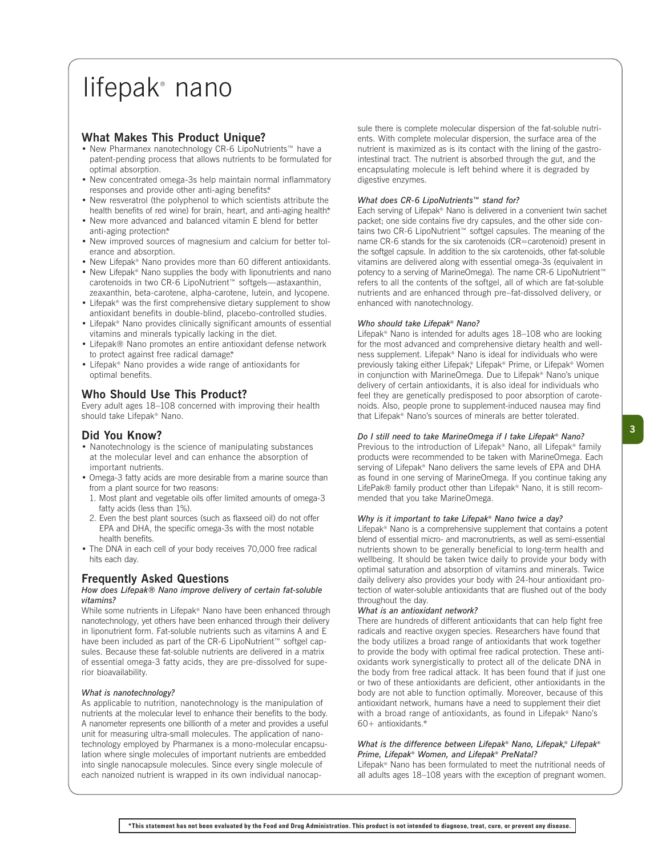## **What Makes This Product Unique?**

- New Pharmanex nanotechnology CR-6 LipoNutrients™ have a patent-pending process that allows nutrients to be formulated for optimal absorption.
- New concentrated omega-3s help maintain normal inflammatory responses and provide other anti-aging benefits\*
- New resveratrol (the polyphenol to which scientists attribute the health benefits of red wine) for brain, heart, and anti-aging health\*
- New more advanced and balanced vitamin E blend for better anti-aging protection\*
- New improved sources of magnesium and calcium for better tolerance and absorption.
- New Lifepak® Nano provides more than 60 different antioxidants.
- New Lifepak® Nano supplies the body with liponutrients and nano carotenoids in two CR-6 LipoNutrient™ softgels—astaxanthin, zeaxanthin, beta-carotene, alpha-carotene, lutein, and lycopene.
- Lifepak® was the first comprehensive dietary supplement to show antioxidant benefits in double-blind, placebo-controlled studies.
- Lifepak® Nano provides clinically significant amounts of essential vitamins and minerals typically lacking in the diet.
- Lifepak® Nano promotes an entire antioxidant defense network to protect against free radical damage\*
- Lifepak® Nano provides a wide range of antioxidants for optimal benefits.

## **Who Should Use This Product?**

Every adult ages 18–108 concerned with improving their health should take Lifepak® Nano.

## **Did You Know?**

- Nanotechnology is the science of manipulating substances at the molecular level and can enhance the absorption of important nutrients.
- Omega-3 fatty acids are more desirable from a marine source than from a plant source for two reasons:
- 1. Most plant and vegetable oils offer limited amounts of omega-3 fatty acids (less than 1%).
- 2. Even the best plant sources (such as flaxseed oil) do not offer EPA and DHA, the specific omega-3s with the most notable health benefits.
- The DNA in each cell of your body receives 70,000 free radical hits each day.

## **Frequently Asked Questions**

#### *How does Lifepak® Nano improve delivery of certain fat-soluble vitamins?*

While some nutrients in Lifepak® Nano have been enhanced through nanotechnology, yet others have been enhanced through their delivery in liponutrient form. Fat-soluble nutrients such as vitamins A and E have been included as part of the CR-6 LipoNutrient™ softgel capsules. Because these fat-soluble nutrients are delivered in a matrix of essential omega-3 fatty acids, they are pre-dissolved for superior bioavailability.

## *What is nanotechnology?*

As applicable to nutrition, nanotechnology is the manipulation of nutrients at the molecular level to enhance their benefits to the body. A nanometer represents one billionth of a meter and provides a useful unit for measuring ultra-small molecules. The application of nanotechnology employed by Pharmanex is a mono-molecular encapsulation where single molecules of important nutrients are embedded into single nanocapsule molecules. Since every single molecule of each nanoized nutrient is wrapped in its own individual nanocapsule there is complete molecular dispersion of the fat-soluble nutrients. With complete molecular dispersion, the surface area of the nutrient is maximized as is its contact with the lining of the gastrointestinal tract. The nutrient is absorbed through the gut, and the encapsulating molecule is left behind where it is degraded by digestive enzymes.

## *What does CR-6 LipoNutrients™ stand for?*

Each serving of Lifepak® Nano is delivered in a convenient twin sachet packet; one side contains five dry capsules, and the other side contains two CR-6 LipoNutrient™ softgel capsules. The meaning of the name CR-6 stands for the six carotenoids (CR=carotenoid) present in the softgel capsule. In addition to the six carotenoids, other fat-soluble vitamins are delivered along with essential omega-3s (equivalent in potency to a serving of MarineOmega). The name CR-6 LipoNutrient™ refers to all the contents of the softgel, all of which are fat-soluble nutrients and are enhanced through pre–fat-dissolved delivery, or enhanced with nanotechnology.

## *Who should take Lifepak® Nano?*

Lifepak® Nano is intended for adults ages 18–108 who are looking for the most advanced and comprehensive dietary health and wellness supplement. Lifepak® Nano is ideal for individuals who were previously taking either Lifepak® Lifepak® Prime, or Lifepak® Women in conjunction with MarineOmega. Due to Lifepak® Nano's unique delivery of certain antioxidants, it is also ideal for individuals who feel they are genetically predisposed to poor absorption of carotenoids. Also, people prone to supplement-induced nausea may find that Lifepak® Nano's sources of minerals are better tolerated.

## *Do I still need to take MarineOmega if I take Lifepak® Nano?*

Previous to the introduction of Lifepak® Nano, all Lifepak® family products were recommended to be taken with MarineOmega. Each serving of Lifepak® Nano delivers the same levels of EPA and DHA as found in one serving of MarineOmega. If you continue taking any LifePak® family product other than Lifepak® Nano, it is still recommended that you take MarineOmega.

## *Why is it important to take Lifepak® Nano twice a day?*

Lifepak® Nano is a comprehensive supplement that contains a potent blend of essential micro- and macronutrients, as well as semi-essential nutrients shown to be generally beneficial to long-term health and wellbeing. It should be taken twice daily to provide your body with optimal saturation and absorption of vitamins and minerals. Twice daily delivery also provides your body with 24-hour antioxidant protection of water-soluble antioxidants that are flushed out of the body throughout the day.

#### *What is an antioxidant network?*

There are hundreds of different antioxidants that can help fight free radicals and reactive oxygen species. Researchers have found that the body utilizes a broad range of antioxidants that work together to provide the body with optimal free radical protection. These antioxidants work synergistically to protect all of the delicate DNA in the body from free radical attack. It has been found that if just one or two of these antioxidants are deficient, other antioxidants in the body are not able to function optimally. Moreover, because of this antioxidant network, humans have a need to supplement their diet with a broad range of antioxidants, as found in Lifepak® Nano's 60+ antioxidants.\*

#### *What is the difference between Lifepak® Nano, Lifepak,® Lifepak® Prime, Lifepak® Women, and Lifepak® PreNatal?*

Lifepak® Nano has been formulated to meet the nutritional needs of all adults ages 18–108 years with the exception of pregnant women.